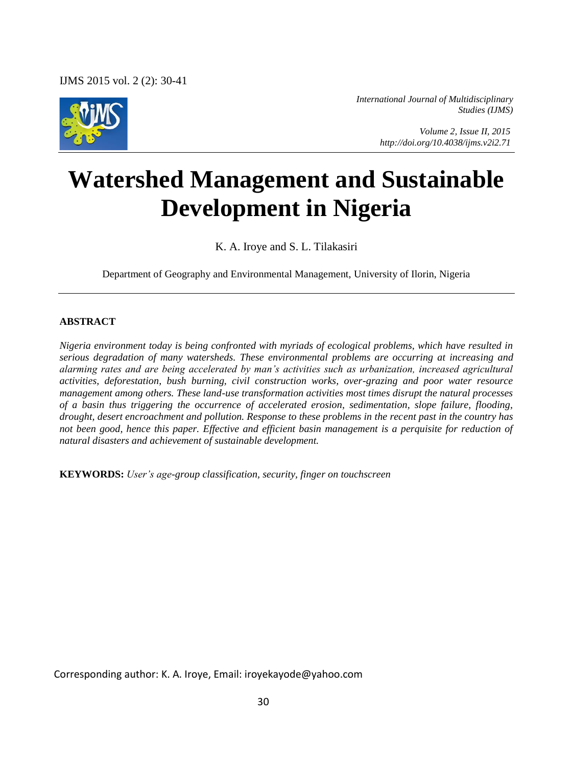IJMS 2015 vol. 2 (2): 30-41



*International Journal of Multidisciplinary Studies (IJMS)* 

> *Volume 2, Issue II, 2015 http://doi.org/10.4038/ijms.v2i2.71*

# **Watershed Management and Sustainable Development in Nigeria**

K. A. Iroye and S. L. Tilakasiri

Department of Geography and Environmental Management, University of Ilorin, Nigeria

#### **ABSTRACT**

*Nigeria environment today is being confronted with myriads of ecological problems, which have resulted in serious degradation of many watersheds. These environmental problems are occurring at increasing and alarming rates and are being accelerated by man's activities such as urbanization, increased agricultural activities, deforestation, bush burning, civil construction works, over-grazing and poor water resource management among others. These land-use transformation activities most times disrupt the natural processes of a basin thus triggering the occurrence of accelerated erosion, sedimentation, slope failure, flooding, drought, desert encroachment and pollution. Response to these problems in the recent past in the country has not been good, hence this paper. Effective and efficient basin management is a perquisite for reduction of natural disasters and achievement of sustainable development.* 

**KEYWORDS:** *User's age-group classification, security, finger on touchscreen* 

Corresponding author: K. A. Iroye, Email: iroyekayode@yahoo.com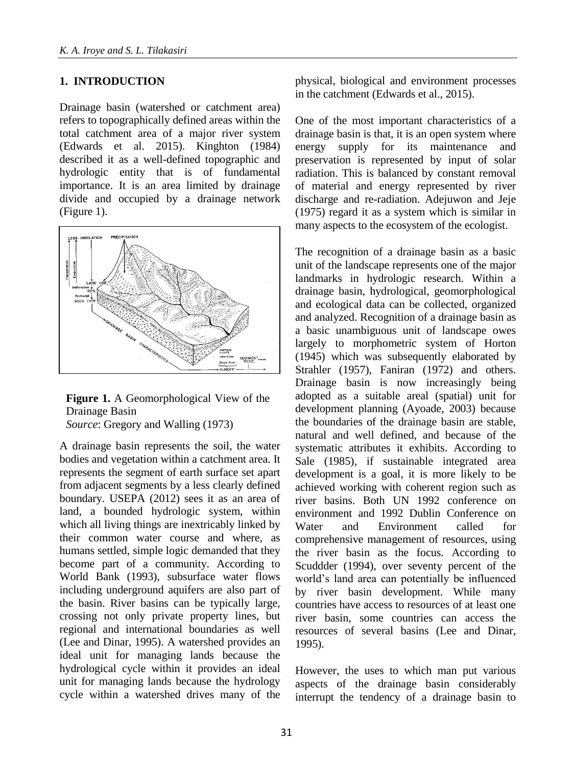#### **1. INTRODUCTION**

Drainage basin (watershed or catchment area) refers to topographically defined areas within the total catchment area of a major river system (Edwards et al. 2015). Kinghton (1984) described it as a well-defined topographic and hydrologic entity that is of fundamental importance. It is an area limited by drainage divide and occupied by a drainage network (Figure 1).



**Figure 1.** A Geomorphological View of the Drainage Basin *Source*: Gregory and Walling (1973)

A drainage basin represents the soil, the water bodies and vegetation within a catchment area. It represents the segment of earth surface set apart from adjacent segments by a less clearly defined boundary. USEPA (2012) sees it as an area of land, a bounded hydrologic system, within which all living things are inextricably linked by their common water course and where, as humans settled, simple logic demanded that they become part of a community. According to World Bank (1993), subsurface water flows including underground aquifers are also part of the basin. River basins can be typically large, crossing not only private property lines, but regional and international boundaries as well (Lee and Dinar, 1995). A watershed provides an ideal unit for managing lands because the hydrological cycle within it provides an ideal unit for managing lands because the hydrology cycle within a watershed drives many of the

physical, biological and environment processes in the catchment (Edwards et al., 2015).

One of the most important characteristics of a drainage basin is that, it is an open system where energy supply for its maintenance and preservation is represented by input of solar radiation. This is balanced by constant removal of material and energy represented by river discharge and re-radiation. Adejuwon and Jeje (1975) regard it as a system which is similar in many aspects to the ecosystem of the ecologist.

The recognition of a drainage basin as a basic unit of the landscape represents one of the major landmarks in hydrologic research. Within a drainage basin, hydrological, geomorphological and ecological data can be collected, organized and analyzed. Recognition of a drainage basin as a basic unambiguous unit of landscape owes largely to morphometric system of Horton (1945) which was subsequently elaborated by Strahler (1957), Faniran (1972) and others. Drainage basin is now increasingly being adopted as a suitable areal (spatial) unit for development planning (Ayoade, 2003) because the boundaries of the drainage basin are stable, natural and well defined, and because of the systematic attributes it exhibits. According to Sale (1985), if sustainable integrated area development is a goal, it is more likely to be achieved working with coherent region such as river basins. Both UN 1992 conference on environment and 1992 Dublin Conference on Water and Environment called for comprehensive management of resources, using the river basin as the focus. According to Scuddder (1994), over seventy percent of the world's land area can potentially be influenced by river basin development. While many countries have access to resources of at least one river basin, some countries can access the resources of several basins (Lee and Dinar, 1995).

However, the uses to which man put various aspects of the drainage basin considerably interrupt the tendency of a drainage basin to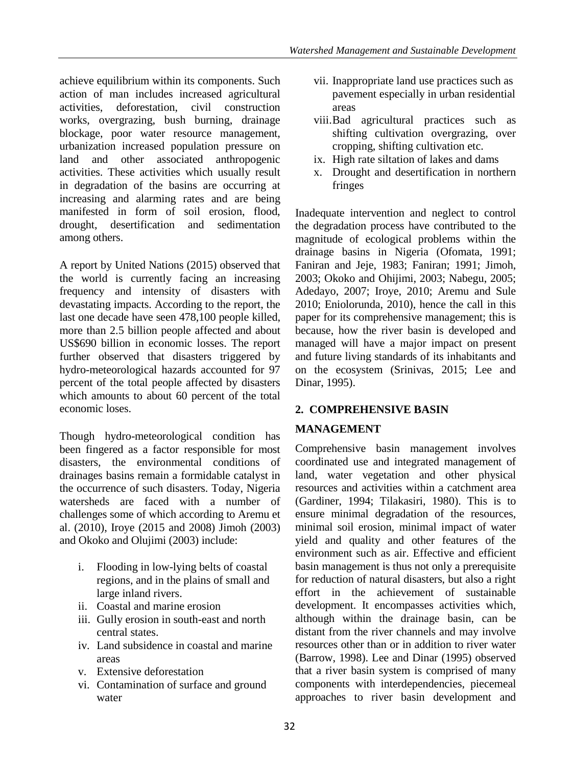achieve equilibrium within its components. Such action of man includes increased agricultural activities, deforestation, civil construction works, overgrazing, bush burning, drainage blockage, poor water resource management, urbanization increased population pressure on land and other associated anthropogenic activities. These activities which usually result in degradation of the basins are occurring at increasing and alarming rates and are being manifested in form of soil erosion, flood, drought, desertification and sedimentation among others.

A report by United Nations (2015) observed that the world is currently facing an increasing frequency and intensity of disasters with devastating impacts. According to the report, the last one decade have seen 478,100 people killed, more than 2.5 billion people affected and about US\$690 billion in economic losses. The report further observed that disasters triggered by hydro-meteorological hazards accounted for 97 percent of the total people affected by disasters which amounts to about 60 percent of the total economic loses.

Though hydro-meteorological condition has been fingered as a factor responsible for most disasters, the environmental conditions of drainages basins remain a formidable catalyst in the occurrence of such disasters. Today, Nigeria watersheds are faced with a number of challenges some of which according to Aremu et al. (2010), Iroye (2015 and 2008) Jimoh (2003) and Okoko and Olujimi (2003) include:

- i. Flooding in low-lying belts of coastal regions, and in the plains of small and large inland rivers.
- ii. Coastal and marine erosion
- iii. Gully erosion in south-east and north central states.
- iv. Land subsidence in coastal and marine areas
- v. Extensive deforestation
- vi. Contamination of surface and ground water
- vii. Inappropriate land use practices such as pavement especially in urban residential areas
- viii.Bad agricultural practices such as shifting cultivation overgrazing, over cropping, shifting cultivation etc.
- ix. High rate siltation of lakes and dams
- x. Drought and desertification in northern fringes

Inadequate intervention and neglect to control the degradation process have contributed to the magnitude of ecological problems within the drainage basins in Nigeria (Ofomata, 1991; Faniran and Jeje, 1983; Faniran; 1991; Jimoh, 2003; Okoko and Ohijimi, 2003; Nabegu, 2005; Adedayo, 2007; Iroye, 2010; Aremu and Sule 2010; Eniolorunda, 2010), hence the call in this paper for its comprehensive management; this is because, how the river basin is developed and managed will have a major impact on present and future living standards of its inhabitants and on the ecosystem (Srinivas, 2015; Lee and Dinar, 1995).

## **2. COMPREHENSIVE BASIN**

#### **MANAGEMENT**

Comprehensive basin management involves coordinated use and integrated management of land, water vegetation and other physical resources and activities within a catchment area (Gardiner, 1994; Tilakasiri, 1980). This is to ensure minimal degradation of the resources, minimal soil erosion, minimal impact of water yield and quality and other features of the environment such as air. Effective and efficient basin management is thus not only a prerequisite for reduction of natural disasters, but also a right effort in the achievement of sustainable development. It encompasses activities which, although within the drainage basin, can be distant from the river channels and may involve resources other than or in addition to river water (Barrow, 1998). Lee and Dinar (1995) observed that a river basin system is comprised of many components with interdependencies, piecemeal approaches to river basin development and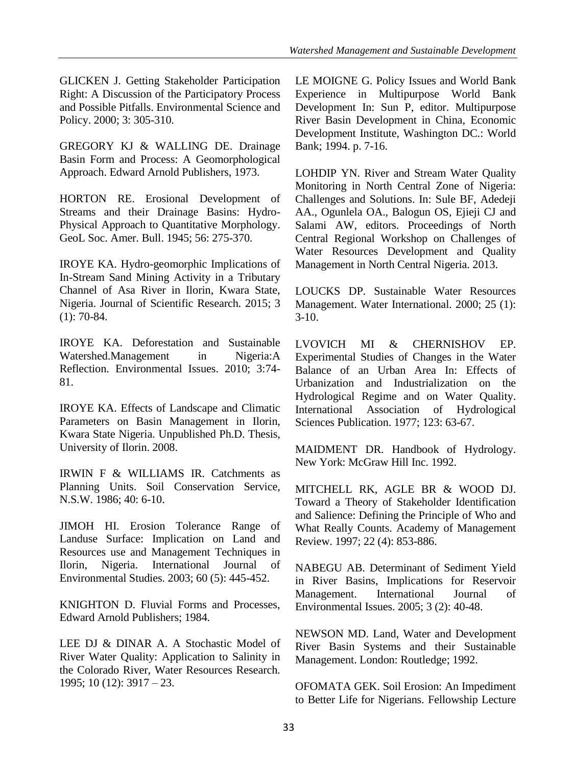GLICKEN J. Getting Stakeholder Participation Right: A Discussion of the Participatory Process and Possible Pitfalls. Environmental Science and Policy. 2000; 3: 305-310.

GREGORY KJ & WALLING DE. Drainage Basin Form and Process: A Geomorphological Approach. Edward Arnold Publishers, 1973.

HORTON RE. Erosional Development of Streams and their Drainage Basins: Hydro-Physical Approach to Quantitative Morphology. GeoL Soc. Amer. Bull. 1945; 56: 275-370.

IROYE KA. Hydro-geomorphic Implications of In-Stream Sand Mining Activity in a Tributary Channel of Asa River in Ilorin, Kwara State, Nigeria. Journal of Scientific Research*.* 2015; 3 (1): 70-84.

IROYE KA. Deforestation and Sustainable Watershed.Management in Nigeria:A Reflection. Environmental Issues. 2010; 3:74- 81.

IROYE KA. Effects of Landscape and Climatic Parameters on Basin Management in Ilorin, Kwara State Nigeria. Unpublished Ph.D. Thesis, University of Ilorin. 2008.

IRWIN F & WILLIAMS IR. Catchments as Planning Units. Soil Conservation Service, N.S.W. 1986; 40: 6-10.

JIMOH HI. Erosion Tolerance Range of Landuse Surface: Implication on Land and Resources use and Management Techniques in Ilorin, Nigeria. International Journal of Environmental Studies. 2003; 60 (5): 445-452.

KNIGHTON D. Fluvial Forms and Processes, Edward Arnold Publishers; 1984.

LEE DJ & DINAR A. A Stochastic Model of River Water Quality: Application to Salinity in the Colorado River, Water Resources Research*.* 1995; 10 (12): 3917 – 23.

LE MOIGNE G. Policy Issues and World Bank Experience in Multipurpose World Bank Development In: Sun P, editor. Multipurpose River Basin Development in China, Economic Development Institute, Washington DC.: World Bank; 1994. p. 7-16.

LOHDIP YN. River and Stream Water Quality Monitoring in North Central Zone of Nigeria: Challenges and Solutions. In: Sule BF, Adedeji AA., Ogunlela OA., Balogun OS, Ejieji CJ and Salami AW, editors. Proceedings of North Central Regional Workshop on Challenges of Water Resources Development and Quality Management in North Central Nigeria. 2013.

LOUCKS DP. Sustainable Water Resources Management. Water International. 2000; 25 (1):  $3-10.$ 

LVOVICH MI & CHERNISHOV EP. Experimental Studies of Changes in the Water Balance of an Urban Area In: Effects of Urbanization and Industrialization on the Hydrological Regime and on Water Quality. International Association of Hydrological Sciences Publication. 1977; 123: 63-67.

MAIDMENT DR. Handbook of Hydrology. New York: McGraw Hill Inc. 1992.

MITCHELL RK, AGLE BR & WOOD DJ. Toward a Theory of Stakeholder Identification and Salience: Defining the Principle of Who and What Really Counts. Academy of Management Review. 1997; 22 (4): 853-886.

NABEGU AB. Determinant of Sediment Yield in River Basins, Implications for Reservoir Management. International Journal of Environmental Issues. 2005; 3 (2): 40-48.

NEWSON MD. Land, Water and Development River Basin Systems and their Sustainable Management. London: Routledge; 1992.

OFOMATA GEK. Soil Erosion: An Impediment to Better Life for Nigerians. Fellowship Lecture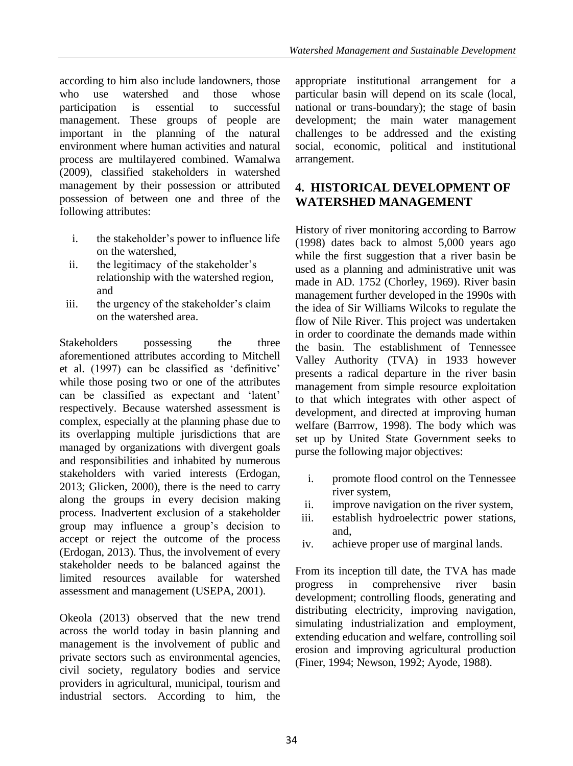according to him also include landowners, those who use watershed and those whose participation is essential to successful management. These groups of people are important in the planning of the natural environment where human activities and natural process are multilayered combined. Wamalwa (2009), classified stakeholders in watershed management by their possession or attributed possession of between one and three of the following attributes:

- i. the stakeholder's power to influence life on the watershed,
- ii. the legitimacy of the stakeholder's relationship with the watershed region, and
- iii. the urgency of the stakeholder's claim on the watershed area.

Stakeholders possessing the three aforementioned attributes according to Mitchell et al. (1997) can be classified as 'definitive' while those posing two or one of the attributes can be classified as expectant and 'latent' respectively. Because watershed assessment is complex, especially at the planning phase due to its overlapping multiple jurisdictions that are managed by organizations with divergent goals and responsibilities and inhabited by numerous stakeholders with varied interests (Erdogan, 2013; Glicken, 2000), there is the need to carry along the groups in every decision making process. Inadvertent exclusion of a stakeholder group may influence a group's decision to accept or reject the outcome of the process (Erdogan, 2013). Thus, the involvement of every stakeholder needs to be balanced against the limited resources available for watershed assessment and management (USEPA, 2001).

Okeola (2013) observed that the new trend across the world today in basin planning and management is the involvement of public and private sectors such as environmental agencies, civil society, regulatory bodies and service providers in agricultural, municipal, tourism and industrial sectors. According to him, the

appropriate institutional arrangement for a particular basin will depend on its scale (local, national or trans-boundary); the stage of basin development; the main water management challenges to be addressed and the existing social, economic, political and institutional arrangement.

### **4. HISTORICAL DEVELOPMENT OF WATERSHED MANAGEMENT**

History of river monitoring according to Barrow (1998) dates back to almost 5,000 years ago while the first suggestion that a river basin be used as a planning and administrative unit was made in AD. 1752 (Chorley, 1969). River basin management further developed in the 1990s with the idea of Sir Williams Wilcoks to regulate the flow of Nile River. This project was undertaken in order to coordinate the demands made within the basin. The establishment of Tennessee Valley Authority (TVA) in 1933 however presents a radical departure in the river basin management from simple resource exploitation to that which integrates with other aspect of development, and directed at improving human welfare (Barrrow, 1998). The body which was set up by United State Government seeks to purse the following major objectives:

- i. promote flood control on the Tennessee river system,
- ii. improve navigation on the river system,
- iii. establish hydroelectric power stations, and,
- iv. achieve proper use of marginal lands.

From its inception till date, the TVA has made progress in comprehensive river basin development; controlling floods, generating and distributing electricity, improving navigation, simulating industrialization and employment, extending education and welfare, controlling soil erosion and improving agricultural production (Finer, 1994; Newson, 1992; Ayode, 1988).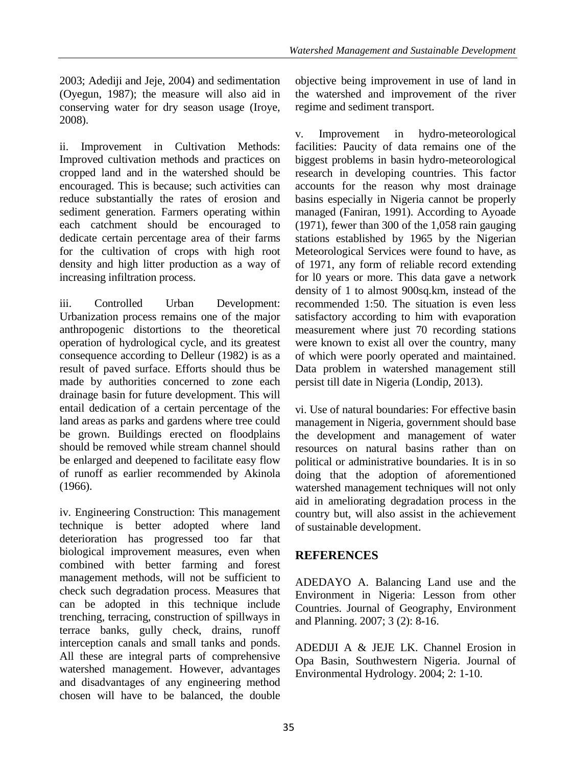2003; Adediji and Jeje, 2004) and sedimentation (Oyegun, 1987); the measure will also aid in conserving water for dry season usage (Iroye, 2008).

ii. Improvement in Cultivation Methods: Improved cultivation methods and practices on cropped land and in the watershed should be encouraged. This is because; such activities can reduce substantially the rates of erosion and sediment generation. Farmers operating within each catchment should be encouraged to dedicate certain percentage area of their farms for the cultivation of crops with high root density and high litter production as a way of increasing infiltration process.

iii. Controlled Urban Development: Urbanization process remains one of the major anthropogenic distortions to the theoretical operation of hydrological cycle, and its greatest consequence according to Delleur (1982) is as a result of paved surface. Efforts should thus be made by authorities concerned to zone each drainage basin for future development. This will entail dedication of a certain percentage of the land areas as parks and gardens where tree could be grown. Buildings erected on floodplains should be removed while stream channel should be enlarged and deepened to facilitate easy flow of runoff as earlier recommended by Akinola (1966).

iv. Engineering Construction: This management technique is better adopted where land deterioration has progressed too far that biological improvement measures, even when combined with better farming and forest management methods, will not be sufficient to check such degradation process. Measures that can be adopted in this technique include trenching, terracing, construction of spillways in terrace banks, gully check, drains, runoff interception canals and small tanks and ponds. All these are integral parts of comprehensive watershed management. However, advantages and disadvantages of any engineering method chosen will have to be balanced, the double objective being improvement in use of land in the watershed and improvement of the river regime and sediment transport.

v. Improvement in hydro-meteorological facilities: Paucity of data remains one of the biggest problems in basin hydro-meteorological research in developing countries. This factor accounts for the reason why most drainage basins especially in Nigeria cannot be properly managed (Faniran, 1991). According to Ayoade (1971), fewer than 300 of the 1,058 rain gauging stations established by 1965 by the Nigerian Meteorological Services were found to have, as of 1971, any form of reliable record extending for l0 years or more. This data gave a network density of 1 to almost 900sq.km, instead of the recommended 1:50. The situation is even less satisfactory according to him with evaporation measurement where just 70 recording stations were known to exist all over the country, many of which were poorly operated and maintained. Data problem in watershed management still persist till date in Nigeria (Londip, 2013).

vi. Use of natural boundaries: For effective basin management in Nigeria, government should base the development and management of water resources on natural basins rather than on political or administrative boundaries. It is in so doing that the adoption of aforementioned watershed management techniques will not only aid in ameliorating degradation process in the country but, will also assist in the achievement of sustainable development.

## **REFERENCES**

ADEDAYO A. Balancing Land use and the Environment in Nigeria: Lesson from other Countries. Journal of Geography, Environment and Planning. 2007; 3 (2): 8-16.

ADEDIJI A & JEJE LK. Channel Erosion in Opa Basin, Southwestern Nigeria. Journal of Environmental Hydrology. 2004; 2: 1-10.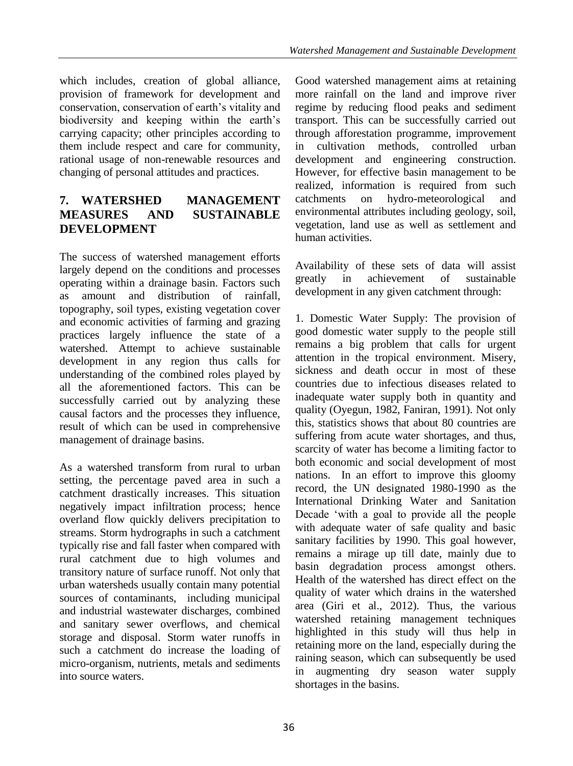which includes, creation of global alliance, provision of framework for development and conservation, conservation of earth's vitality and biodiversity and keeping within the earth's carrying capacity; other principles according to them include respect and care for community, rational usage of non-renewable resources and changing of personal attitudes and practices.

## **7. WATERSHED MANAGEMENT MEASURES AND SUSTAINABLE DEVELOPMENT**

The success of watershed management efforts largely depend on the conditions and processes operating within a drainage basin. Factors such as amount and distribution of rainfall, topography, soil types, existing vegetation cover and economic activities of farming and grazing practices largely influence the state of a watershed. Attempt to achieve sustainable development in any region thus calls for understanding of the combined roles played by all the aforementioned factors. This can be successfully carried out by analyzing these causal factors and the processes they influence, result of which can be used in comprehensive management of drainage basins.

As a watershed transform from rural to urban setting, the percentage paved area in such a catchment drastically increases. This situation negatively impact infiltration process; hence overland flow quickly delivers precipitation to streams. Storm hydrographs in such a catchment typically rise and fall faster when compared with rural catchment due to high volumes and transitory nature of surface runoff. Not only that urban watersheds usually contain many potential sources of contaminants, including municipal and industrial wastewater discharges, combined and sanitary sewer overflows, and chemical storage and disposal. Storm water runoffs in such a catchment do increase the loading of micro-organism, nutrients, metals and sediments into source waters.

Good watershed management aims at retaining more rainfall on the land and improve river regime by reducing flood peaks and sediment transport. This can be successfully carried out through afforestation programme, improvement in cultivation methods, controlled urban development and engineering construction. However, for effective basin management to be realized, information is required from such catchments on hydro-meteorological and environmental attributes including geology, soil, vegetation, land use as well as settlement and human activities.

Availability of these sets of data will assist greatly in achievement of sustainable development in any given catchment through:

1. Domestic Water Supply: The provision of good domestic water supply to the people still remains a big problem that calls for urgent attention in the tropical environment. Misery, sickness and death occur in most of these countries due to infectious diseases related to inadequate water supply both in quantity and quality (Oyegun, 1982, Faniran, 1991). Not only this, statistics shows that about 80 countries are suffering from acute water shortages, and thus, scarcity of water has become a limiting factor to both economic and social development of most nations. In an effort to improve this gloomy record, the UN designated 1980-1990 as the International Drinking Water and Sanitation Decade 'with a goal to provide all the people with adequate water of safe quality and basic sanitary facilities by 1990. This goal however, remains a mirage up till date, mainly due to basin degradation process amongst others. Health of the watershed has direct effect on the quality of water which drains in the watershed area (Giri et al., 2012). Thus, the various watershed retaining management techniques highlighted in this study will thus help in retaining more on the land, especially during the raining season, which can subsequently be used in augmenting dry season water supply shortages in the basins.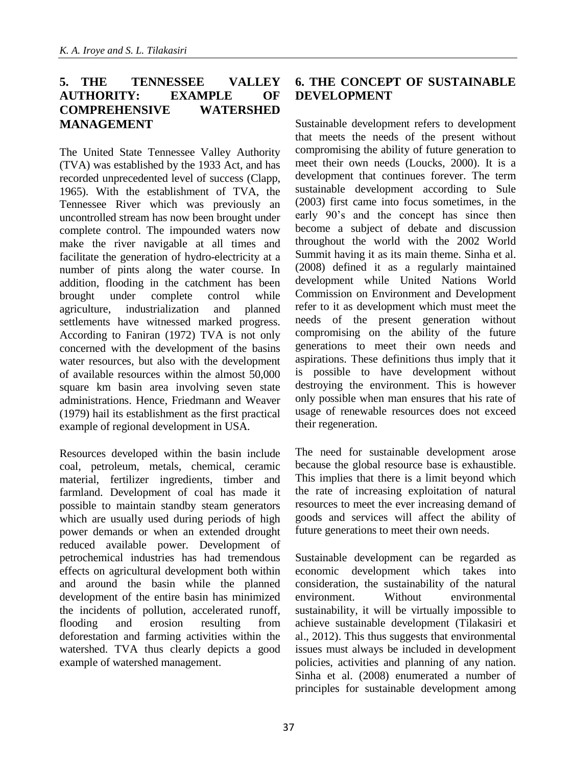#### **5. THE TENNESSEE VALLEY AUTHORITY: EXAMPLE OF COMPREHENSIVE WATERSHED MANAGEMENT**

The United State Tennessee Valley Authority (TVA) was established by the 1933 Act, and has recorded unprecedented level of success (Clapp, 1965). With the establishment of TVA, the Tennessee River which was previously an uncontrolled stream has now been brought under complete control. The impounded waters now make the river navigable at all times and facilitate the generation of hydro-electricity at a number of pints along the water course. In addition, flooding in the catchment has been brought under complete control while agriculture, industrialization and planned settlements have witnessed marked progress. According to Faniran (1972) TVA is not only concerned with the development of the basins water resources, but also with the development of available resources within the almost 50,000 square km basin area involving seven state administrations. Hence, Friedmann and Weaver (1979) hail its establishment as the first practical example of regional development in USA.

Resources developed within the basin include coal, petroleum, metals, chemical, ceramic material, fertilizer ingredients, timber and farmland. Development of coal has made it possible to maintain standby steam generators which are usually used during periods of high power demands or when an extended drought reduced available power. Development of petrochemical industries has had tremendous effects on agricultural development both within and around the basin while the planned development of the entire basin has minimized the incidents of pollution, accelerated runoff, flooding and erosion resulting from deforestation and farming activities within the watershed. TVA thus clearly depicts a good example of watershed management.

#### **6. THE CONCEPT OF SUSTAINABLE DEVELOPMENT**

Sustainable development refers to development that meets the needs of the present without compromising the ability of future generation to meet their own needs (Loucks, 2000). It is a development that continues forever. The term sustainable development according to Sule (2003) first came into focus sometimes, in the early 90's and the concept has since then become a subject of debate and discussion throughout the world with the 2002 World Summit having it as its main theme. Sinha et al. (2008) defined it as a regularly maintained development while United Nations World Commission on Environment and Development refer to it as development which must meet the needs of the present generation without compromising on the ability of the future generations to meet their own needs and aspirations. These definitions thus imply that it is possible to have development without destroying the environment. This is however only possible when man ensures that his rate of usage of renewable resources does not exceed their regeneration.

The need for sustainable development arose because the global resource base is exhaustible. This implies that there is a limit beyond which the rate of increasing exploitation of natural resources to meet the ever increasing demand of goods and services will affect the ability of future generations to meet their own needs.

Sustainable development can be regarded as economic development which takes into consideration, the sustainability of the natural environment. Without environmental sustainability, it will be virtually impossible to achieve sustainable development (Tilakasiri et al., 2012). This thus suggests that environmental issues must always be included in development policies, activities and planning of any nation. Sinha et al. (2008) enumerated a number of principles for sustainable development among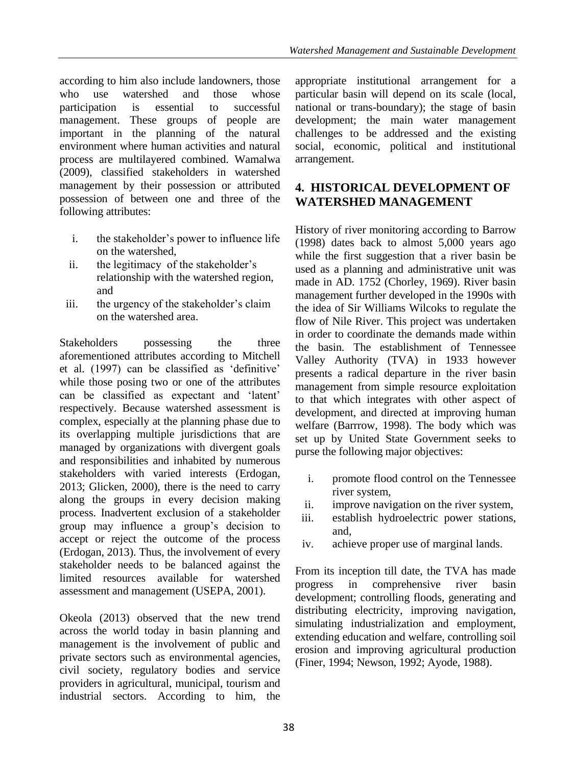according to him also include landowners, those who use watershed and those whose participation is essential to successful management. These groups of people are important in the planning of the natural environment where human activities and natural process are multilayered combined. Wamalwa (2009), classified stakeholders in watershed management by their possession or attributed possession of between one and three of the following attributes:

- i. the stakeholder's power to influence life on the watershed,
- ii. the legitimacy of the stakeholder's relationship with the watershed region, and
- iii. the urgency of the stakeholder's claim on the watershed area.

Stakeholders possessing the three aforementioned attributes according to Mitchell et al. (1997) can be classified as 'definitive' while those posing two or one of the attributes can be classified as expectant and 'latent' respectively. Because watershed assessment is complex, especially at the planning phase due to its overlapping multiple jurisdictions that are managed by organizations with divergent goals and responsibilities and inhabited by numerous stakeholders with varied interests (Erdogan, 2013; Glicken, 2000), there is the need to carry along the groups in every decision making process. Inadvertent exclusion of a stakeholder group may influence a group's decision to accept or reject the outcome of the process (Erdogan, 2013). Thus, the involvement of every stakeholder needs to be balanced against the limited resources available for watershed assessment and management (USEPA, 2001).

Okeola (2013) observed that the new trend across the world today in basin planning and management is the involvement of public and private sectors such as environmental agencies, civil society, regulatory bodies and service providers in agricultural, municipal, tourism and industrial sectors. According to him, the

appropriate institutional arrangement for a particular basin will depend on its scale (local, national or trans-boundary); the stage of basin development; the main water management challenges to be addressed and the existing social, economic, political and institutional arrangement.

## **4. HISTORICAL DEVELOPMENT OF WATERSHED MANAGEMENT**

History of river monitoring according to Barrow (1998) dates back to almost 5,000 years ago while the first suggestion that a river basin be used as a planning and administrative unit was made in AD. 1752 (Chorley, 1969). River basin management further developed in the 1990s with the idea of Sir Williams Wilcoks to regulate the flow of Nile River. This project was undertaken in order to coordinate the demands made within the basin. The establishment of Tennessee Valley Authority (TVA) in 1933 however presents a radical departure in the river basin management from simple resource exploitation to that which integrates with other aspect of development, and directed at improving human welfare (Barrrow, 1998). The body which was set up by United State Government seeks to purse the following major objectives:

- i. promote flood control on the Tennessee river system,
- ii. improve navigation on the river system,
- iii. establish hydroelectric power stations, and,
- iv. achieve proper use of marginal lands.

From its inception till date, the TVA has made progress in comprehensive river basin development; controlling floods, generating and distributing electricity, improving navigation, simulating industrialization and employment, extending education and welfare, controlling soil erosion and improving agricultural production (Finer, 1994; Newson, 1992; Ayode, 1988).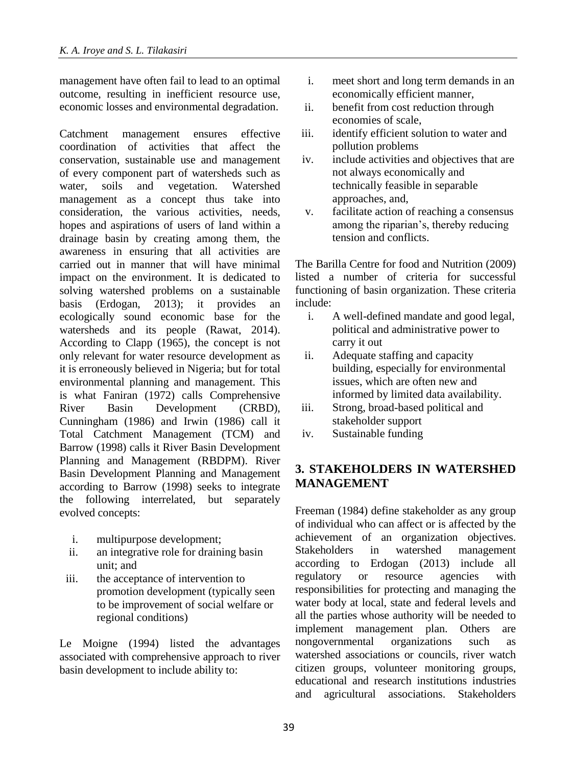management have often fail to lead to an optimal outcome, resulting in inefficient resource use, economic losses and environmental degradation.

Catchment management ensures effective coordination of activities that affect the conservation, sustainable use and management of every component part of watersheds such as water, soils and vegetation. Watershed management as a concept thus take into consideration, the various activities, needs, hopes and aspirations of users of land within a drainage basin by creating among them, the awareness in ensuring that all activities are carried out in manner that will have minimal impact on the environment. It is dedicated to solving watershed problems on a sustainable basis (Erdogan, 2013); it provides an ecologically sound economic base for the watersheds and its people (Rawat, 2014). According to Clapp (1965), the concept is not only relevant for water resource development as it is erroneously believed in Nigeria; but for total environmental planning and management. This is what Faniran (1972) calls Comprehensive River Basin Development (CRBD), Cunningham (1986) and Irwin (1986) call it Total Catchment Management (TCM) and Barrow (1998) calls it River Basin Development Planning and Management (RBDPM). River Basin Development Planning and Management according to Barrow (1998) seeks to integrate the following interrelated, but separately evolved concepts:

- i. multipurpose development;
- ii. an integrative role for draining basin unit; and
- iii. the acceptance of intervention to promotion development (typically seen to be improvement of social welfare or regional conditions)

Le Moigne (1994) listed the advantages associated with comprehensive approach to river basin development to include ability to:

- i. meet short and long term demands in an economically efficient manner,
- ii. benefit from cost reduction through economies of scale,
- iii. identify efficient solution to water and pollution problems
- iv. include activities and objectives that are not always economically and technically feasible in separable approaches, and,
- v. facilitate action of reaching a consensus among the riparian's, thereby reducing tension and conflicts.

The Barilla Centre for food and Nutrition (2009) listed a number of criteria for successful functioning of basin organization. These criteria include:

- i. A well-defined mandate and good legal, political and administrative power to carry it out
- ii. Adequate staffing and capacity building, especially for environmental issues, which are often new and informed by limited data availability.
- iii. Strong, broad-based political and stakeholder support
- iv. Sustainable funding

#### **3. STAKEHOLDERS IN WATERSHED MANAGEMENT**

Freeman (1984) define stakeholder as any group of individual who can affect or is affected by the achievement of an organization objectives. Stakeholders in watershed management according to Erdogan (2013) include all regulatory or resource agencies with responsibilities for protecting and managing the water body at local, state and federal levels and all the parties whose authority will be needed to implement management plan. Others are nongovernmental organizations such as watershed associations or councils, river watch citizen groups, volunteer monitoring groups, educational and research institutions industries and agricultural associations. Stakeholders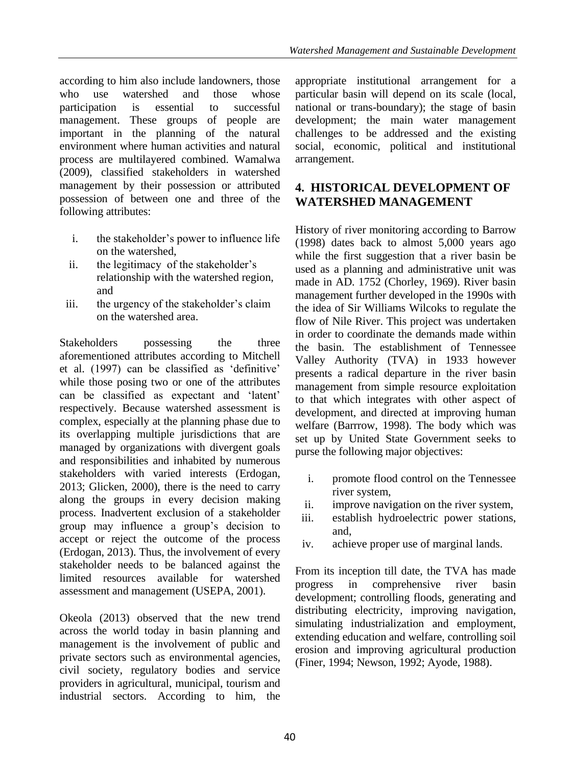according to him also include landowners, those who use watershed and those whose participation is essential to successful management. These groups of people are important in the planning of the natural environment where human activities and natural process are multilayered combined. Wamalwa (2009), classified stakeholders in watershed management by their possession or attributed possession of between one and three of the following attributes:

- i. the stakeholder's power to influence life on the watershed,
- ii. the legitimacy of the stakeholder's relationship with the watershed region, and
- iii. the urgency of the stakeholder's claim on the watershed area.

Stakeholders possessing the three aforementioned attributes according to Mitchell et al. (1997) can be classified as 'definitive' while those posing two or one of the attributes can be classified as expectant and 'latent' respectively. Because watershed assessment is complex, especially at the planning phase due to its overlapping multiple jurisdictions that are managed by organizations with divergent goals and responsibilities and inhabited by numerous stakeholders with varied interests (Erdogan, 2013; Glicken, 2000), there is the need to carry along the groups in every decision making process. Inadvertent exclusion of a stakeholder group may influence a group's decision to accept or reject the outcome of the process (Erdogan, 2013). Thus, the involvement of every stakeholder needs to be balanced against the limited resources available for watershed assessment and management (USEPA, 2001).

Okeola (2013) observed that the new trend across the world today in basin planning and management is the involvement of public and private sectors such as environmental agencies, civil society, regulatory bodies and service providers in agricultural, municipal, tourism and industrial sectors. According to him, the

appropriate institutional arrangement for a particular basin will depend on its scale (local, national or trans-boundary); the stage of basin development; the main water management challenges to be addressed and the existing social, economic, political and institutional arrangement.

### **4. HISTORICAL DEVELOPMENT OF WATERSHED MANAGEMENT**

History of river monitoring according to Barrow (1998) dates back to almost 5,000 years ago while the first suggestion that a river basin be used as a planning and administrative unit was made in AD. 1752 (Chorley, 1969). River basin management further developed in the 1990s with the idea of Sir Williams Wilcoks to regulate the flow of Nile River. This project was undertaken in order to coordinate the demands made within the basin. The establishment of Tennessee Valley Authority (TVA) in 1933 however presents a radical departure in the river basin management from simple resource exploitation to that which integrates with other aspect of development, and directed at improving human welfare (Barrrow, 1998). The body which was set up by United State Government seeks to purse the following major objectives:

- i. promote flood control on the Tennessee river system,
- ii. improve navigation on the river system,
- iii. establish hydroelectric power stations, and,
- iv. achieve proper use of marginal lands.

From its inception till date, the TVA has made progress in comprehensive river basin development; controlling floods, generating and distributing electricity, improving navigation, simulating industrialization and employment, extending education and welfare, controlling soil erosion and improving agricultural production (Finer, 1994; Newson, 1992; Ayode, 1988).